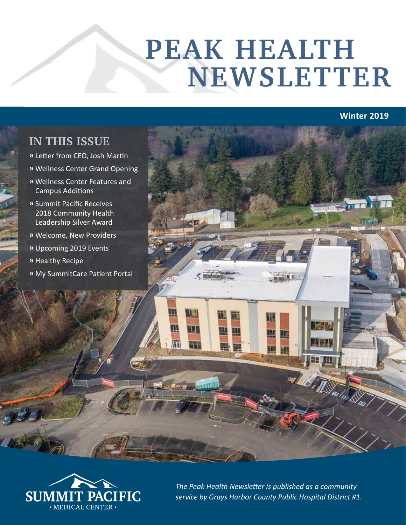# **PEAK HEALTH NEWSLETTER**

## **Winter 2019**

## **IN THIS ISSUE**

- **»** Letter from CEO, Josh Martin
- **»** Wellness Center Grand Opening
- **»** Wellness Center Features and Campus Additions
- **»** Summit Pacific Receives 2018 Community Health Leadership Silver Award
- **»** Welcome, New Providers
- **»** Upcoming 2019 Events
- **»** Healthy Recipe
- **»** My SummitCare Patient Portal





*The Peak Health Newsletter is published as a community service by Grays Harbor County Public Hospital District #1.*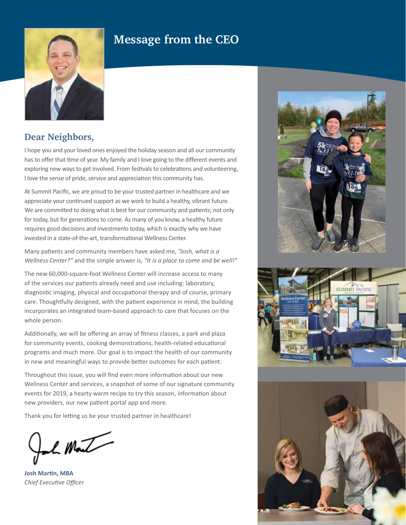## **Message from the CEO**



## **Dear Neighbors,**

I hope you and your loved ones enjoyed the holiday season and all our community has to offer that time of year. My family and I love going to the different events and exploring new ways to get involved. From festivals to celebrations and volunteering, I love the sense of pride, service and appreciation this community has.

At Summit Pacific, we are proud to be your trusted partner in healthcare and we appreciate your continued support as we work to build a healthy, vibrant future. We are committed to doing what is best for our community and patients; not only for today, but for generations to come. As many of you know, a healthy future requires good decisions and investments today, which is exactly why we have invested in a state-of-the-art, transformational Wellness Center.

Many patients and community members have asked me, *"Josh, what is a Wellness Center?"* and the simple answer is, *"It is a place to come and be well!"*

The new 60,000-square-foot Wellness Center will increase access to many of the services our patients already need and use including: laboratory, diagnostic imaging, physical and occupational therapy and of course, primary care. Thoughtfully designed, with the patient experience in mind, the building incorporates an integrated team-based approach to care that focuses on the whole person.

Additionally, we will be offering an array of fitness classes, a park and plaza for community events, cooking demonstrations, health-related educational programs and much more. Our goal is to impact the health of our community in new and meaningful ways to provide better outcomes for each patient.

Throughout this issue, you will find even more information about our new Wellness Center and services, a snapshot of some of our signature community events for 2019, a hearty warm recipe to try this season, information about new providers, our new patient portal app and more.

Thank you for letting us be your trusted partner in healthcare!

L Mont

**Josh Martin, MBA** *Chief Executive Officer*





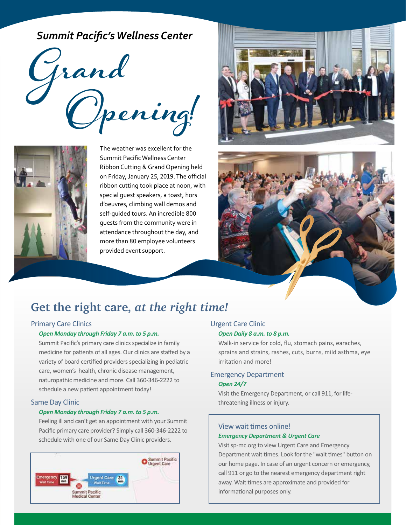*Summit Pacific's Wellness Center* 





The weather was excellent for the Summit Pacific Wellness Center Ribbon Cutting & Grand Opening held on Friday, January 25, 2019. The official ribbon cutting took place at noon, with special guest speakers, a toast, hors d'oeuvres, climbing wall demos and self-guided tours. An incredible 800 guests from the community were in attendance throughout the day, and more than 80 employee volunteers provided event support.





## **Get the right care,** *at the right time!*

#### Primary Care Clinics

#### *Open Monday through Friday 7 a.m. to 5 p.m.*

Summit Pacific's primary care clinics specialize in family medicine for patients of all ages. Our clinics are staffed by a variety of board certified providers specializing in pediatric care, women's health, chronic disease management, naturopathic medicine and more. Call 360-346-2222 to schedule a new patient appointment today!

#### Same Day Clinic

#### *Open Monday through Friday 7 a.m. to 5 p.m.*

Feeling ill and can't get an appointment with your Summit Pacific primary care provider? Simply call 360-346-2222 to schedule with one of our Same Day Clinic providers.



#### Urgent Care Clinic *Open Daily 8 a.m. to 8 p.m.*

Walk-in service for cold, flu, stomach pains, earaches, sprains and strains, rashes, cuts, burns, mild asthma, eye irritation and more!

#### Emergency Department

#### *Open 24/7*

Visit the Emergency Department, or call 911, for lifethreatening illness or injury.

#### View wait times online! *Emergency Department & Urgent Care*

Visit sp-mc.org to view Urgent Care and Emergency Department wait times. Look for the "wait times" button on our home page. In case of an urgent concern or emergency, call 911 or go to the nearest emergency department right away. Wait times are approximate and provided for informational purposes only.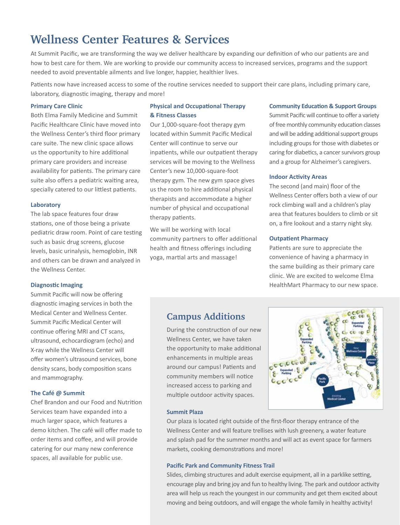## **Wellness Center Features & Services**

At Summit Pacific, we are transforming the way we deliver healthcare by expanding our definition of who our patients are and how to best care for them. We are working to provide our community access to increased services, programs and the support needed to avoid preventable ailments and live longer, happier, healthier lives.

Patients now have increased access to some of the routine services needed to support their care plans, including primary care, laboratory, diagnostic imaging, therapy and more!

#### **Primary Care Clinic**

Both Elma Family Medicine and Summit Pacific Healthcare Clinic have moved into the Wellness Center's third floor primary care suite. The new clinic space allows us the opportunity to hire additional primary care providers and increase availability for patients. The primary care suite also offers a pediatric waiting area, specially catered to our littlest patients.

#### **Laboratory**

The lab space features four draw stations, one of those being a private pediatric draw room. Point of care testing such as basic drug screens, glucose levels, basic urinalysis, hemoglobin, INR and others can be drawn and analyzed in the Wellness Center.

#### **Diagnostic Imaging**

Summit Pacific will now be offering diagnostic imaging services in both the Medical Center and Wellness Center. Summit Pacific Medical Center will continue offering MRI and CT scans, ultrasound, echocardiogram (echo) and X-ray while the Wellness Center will offer women's ultrasound services, bone density scans, body composition scans and mammography.

#### **The Café @ Summit**

Chef Brandon and our Food and Nutrition Services team have expanded into a much larger space, which features a demo kitchen. The café will offer made to order items and coffee, and will provide catering for our many new conference spaces, all available for public use.

#### **Physical and Occupational Therapy & Fitness Classes**

Our 1,000-square-foot therapy gym located within Summit Pacific Medical Center will continue to serve our inpatients, while our outpatient therapy services will be moving to the Wellness Center's new 10,000-square-foot therapy gym. The new gym space gives us the room to hire additional physical therapists and accommodate a higher number of physical and occupational therapy patients.

We will be working with local community partners to offer additional health and fitness offerings including yoga, martial arts and massage!

#### **Community Education & Support Groups**

Summit Pacific will continue to offer a variety of free monthly community education classes and will be adding additional support groups including groups for those with diabetes or caring for diabetics, a cancer survivors group and a group for Alzheimer's caregivers.

#### **Indoor Activity Areas**

The second (and main) floor of the Wellness Center offers both a view of our rock climbing wall and a children's play area that features boulders to climb or sit on, a fire lookout and a starry night sky.

#### **Outpatient Pharmacy**

Patients are sure to appreciate the convenience of having a pharmacy in the same building as their primary care clinic. We are excited to welcome Elma HealthMart Pharmacy to our new space.

## **Campus Additions**

During the construction of our new Wellness Center, we have taken the opportunity to make additional enhancements in multiple areas around our campus! Patients and community members will notice increased access to parking and multiple outdoor activity spaces.



#### **Summit Plaza**

Our plaza is located right outside of the first-floor therapy entrance of the Wellness Center and will feature trellises with lush greenery, a water feature and splash pad for the summer months and will act as event space for farmers markets, cooking demonstrations and more!

#### **Pacific Park and Community Fitness Trail**

Slides, climbing structures and adult exercise equipment, all in a parklike setting, encourage play and bring joy and fun to healthy living. The park and outdoor activity area will help us reach the youngest in our community and get them excited about moving and being outdoors, and will engage the whole family in healthy activity!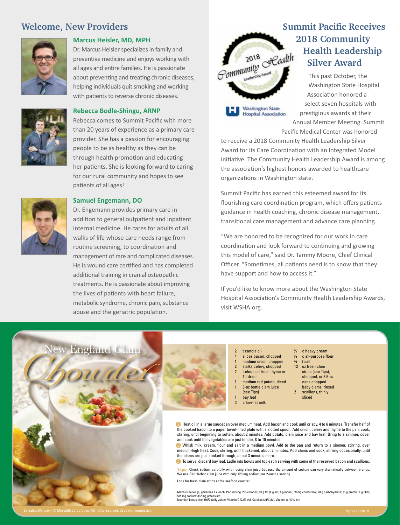### **Welcome, New Providers**



#### **Marcus Heisler, MD, MPH**

Dr. Marcus Heisler specializes in family and preventive medicine and enjoys working with all ages and entire families. He is passionate about preventing and treating chronic diseases, helping individuals quit smoking and working with patients to reverse chronic diseases.



#### **Rebecca Bodle-Shingu, ARNP**

Rebecca comes to Summit Pacific with more than 20 years of experience as a primary care provider. She has a passion for encouraging people to be as healthy as they can be through health promotion and educating her patients. She is looking forward to caring for our rural community and hopes to see patients of all ages!



#### **Samuel Engemann, DO**

Dr. Engemann provides primary care in addition to general outpatient and inpatient internal medicine. He cares for adults of all walks of life whose care needs range from routine screening, to coordination and management of rare and complicated diseases. He is wound care certified and has completed additional training in cranial osteopathic treatments. He is passionate about improving the lives of patients with heart failure, metabolic syndrome, chronic pain, substance abuse and the geriatric population.



**Washington State Hospital Association** 

# **Summit Pacific Receives Health Leadership Silver Award**

This past October, the Washington State Hospital Association honored a select seven hospitals with prestigious awards at their Annual Member Meeting. Summit Pacific Medical Center was honored

to receive a 2018 Community Health Leadership Silver Award for its Care Coordination with an Integrated Model initiative. The Community Health Leadership Award is among the association's highest honors awarded to healthcare organizations in Washington state.

Summit Pacific has earned this esteemed award for its flourishing care coordination program, which offers patients guidance in health coaching, chronic disease management, transitional care management and advance care planning.

"We are honored to be recognized for our work in care coordination and look forward to continuing and growing this model of care," said Dr. Tammy Moore, Chief Clinical Officer. "Sometimes, all patients need is to know that they have support and how to access it."

If you'd like to know more about the Washington State Hospital Association's Community Health Leadership Awards, visit WSHA.org.



- t canola oil slices bacon, chopped medium onion, chopped 2 stalks celery, chopped 2 t chopped fresh thyme or 1 t dried medium red potato, diced
- 8-oz bottle clam juice (see Tips)
- bay leaf
- 3 c low-fat milk
- c all-purpose flour
- $\frac{3}{4}$  t salt
- 12 oz fresh clam
	- strips (see Tips), chopped, or 3 6-oz cans chopped
- baby clams, rinsed 2 scallions, thinly
- sliced

**1** Heat oil in a large saucepan over medium heat. Add bacon and cook until crispy, 4 to 6 minutes. Transfer half of the cooked bacon to a paper towel-lined plate with a slotted spoon. Add onion, celery and thyme to the pan; cook, stirring, until beginning to soften, about 2 minutes. Add potato, clam juice and bay leaf. Bring to a simmer, cover and cook until the vegetables are just tender, 8 to 10 minutes.

<sup>2</sup> Whisk milk, cream, flour and salt in a medium bowl. Add to the pan and return to a simmer, stirring, over medium-high heat. Cook, stirring, until thickened, about 2 minutes. Add clams and cook, stirring occasionally, until the clams are just cooked through, about 3 minutes more.

<sup>3</sup> To serve, discard bay leaf. Ladle into bowls and top each serving with some of the reserved bacon and scallions.

**Tips:** Check sodium carefully when using clam juice because the amount of sodium can vary dramatically between brands. We use Bar Harbor clam juice with only 120 mg sodium per 2-ounce serving.

Look for fresh clam strips at the seafood counter.

Makes 6 servings, generous 1 c each. Per serving: 253 calories; 13 g fat (6 g sat, 4 g mono); 59 mg cholesterol; 20 g carbohydrate; 16 g protein; 1 g fiber; 585 mg sodium; 392 mg potassium. Nutrition bonus: Iron (50% daily value), Vitamin C (23% dv), Calcium (21% dv), Vitamin A (17% dv).